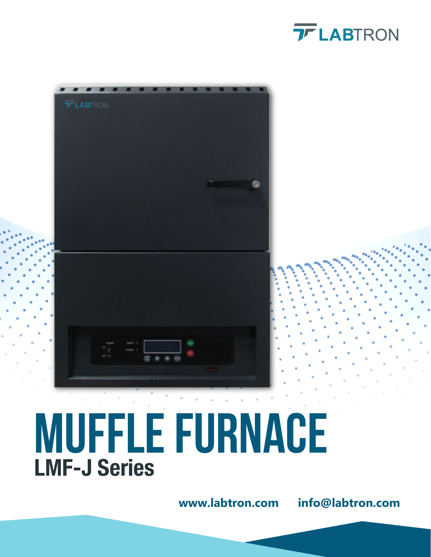



# **MUFFLE FURNACE** LMF-J Series

**www.labtron.com info@labtron.com**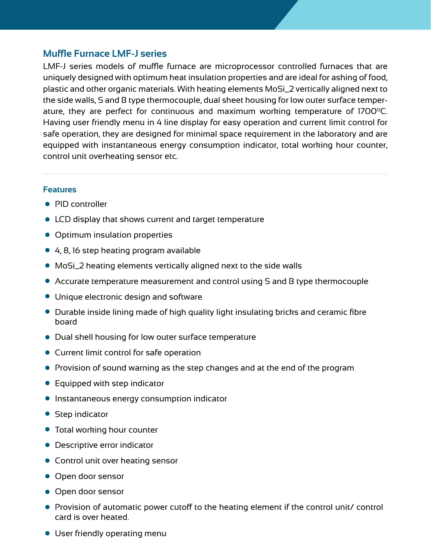## **Muffle Furnace LMF-J series**

LMF-J series models of muffle furnace are microprocessor controlled furnaces that are uniquely designed with optimum heat insulation properties and are ideal for ashing of food, plastic and other organic materials. With heating elements MoSi\_2 vertically aligned next to the side walls, S and B type thermocouple, dual sheet housing for low outer surface temperature, they are perfect for continuous and maximum working temperature of 1700 $^{\circ}$ C. Having user friendly menu in 4 line display for easy operation and current limit control for safe operation, they are designed for minimal space requirement in the laboratory and are equipped with instantaneous energy consumption indicator, total working hour counter, control unit overheating sensor etc.

#### **Features**

- PID controller
- LCD display that shows current and target temperature
- Optimum insulation properties
- 4, 8, 16 step heating program available
- MoSi\_2 heating elements vertically aligned next to the side walls
- Accurate temperature measurement and control using S and B type thermocouple
- Unique electronic design and software
- Durable inside lining made of high quality light insulating bricks and ceramic fibre board
- Dual shell housing for low outer surface temperature
- Current limit control for safe operation
- Provision of sound warning as the step changes and at the end of the program
- **•** Equipped with step indicator
- **•** Instantaneous energy consumption indicator
- Step indicator
- **•** Total working hour counter
- Descriptive error indicator
- Control unit over heating sensor
- **Open door sensor**
- **Open door sensor**
- Provision of automatic power cutoff to the heating element if the control unit/ control card is over heated.
- User friendly operating menu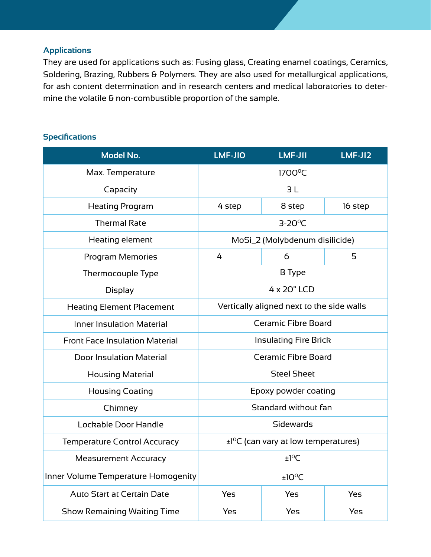## **Applications**

They are used for applications such as: Fusing glass, Creating enamel coatings, Ceramics, Soldering, Brazing, Rubbers & Polymers. They are also used for metallurgical applications, for ash content determination and in research centers and medical laboratories to determine the volatile & non-combustible proportion of the sample.

## **Specifications**

| <b>Model No.</b>                      | <b>LMF-J10</b>                                   | <b>LMF-J11</b> | <b>LMF-J12</b> |
|---------------------------------------|--------------------------------------------------|----------------|----------------|
| Max. Temperature                      | 1700°C                                           |                |                |
| Capacity                              | 3L                                               |                |                |
| <b>Heating Program</b>                | 4 step                                           | 8 step         | 16 step        |
| <b>Thermal Rate</b>                   | $3-20^{\circ}C$                                  |                |                |
| Heating element                       | MoSi_2 (Molybdenum disilicide)                   |                |                |
| <b>Program Memories</b>               | 4                                                | 6              | 5              |
| Thermocouple Type                     | <b>B</b> Type                                    |                |                |
| <b>Display</b>                        | 4 x 20" LCD                                      |                |                |
| <b>Heating Element Placement</b>      | Vertically aligned next to the side walls        |                |                |
| <b>Inner Insulation Material</b>      | <b>Ceramic Fibre Board</b>                       |                |                |
| <b>Front Face Insulation Material</b> | <b>Insulating Fire Brick</b>                     |                |                |
| <b>Door Insulation Material</b>       | <b>Ceramic Fibre Board</b>                       |                |                |
| <b>Housing Material</b>               | <b>Steel Sheet</b>                               |                |                |
| <b>Housing Coating</b>                | Epoxy powder coating                             |                |                |
| Chimney                               | Standard without fan                             |                |                |
| Lockable Door Handle                  | Sidewards                                        |                |                |
| <b>Temperature Control Accuracy</b>   | ±1 <sup>o</sup> C (can vary at low temperatures) |                |                |
| <b>Measurement Accuracy</b>           | $±1^{\circ}$ C                                   |                |                |
| Inner Volume Temperature Homogenity   | $±10^{\circ}$ C                                  |                |                |
| <b>Auto Start at Certain Date</b>     | Yes                                              | Yes            | Yes            |
| <b>Show Remaining Waiting Time</b>    | Yes                                              | Yes            | Yes            |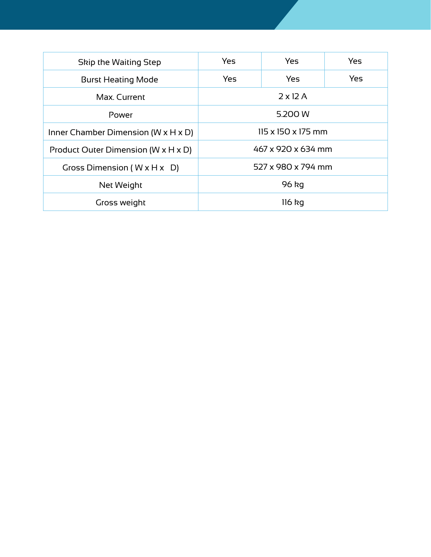| <b>Skip the Waiting Step</b>                      | Yes                | Yes | Yes |
|---------------------------------------------------|--------------------|-----|-----|
| <b>Burst Heating Mode</b>                         | Yes                | Yes | Yes |
| Max. Current                                      | $2 \times 12$ A    |     |     |
| Power                                             | 5.200 W            |     |     |
| Inner Chamber Dimension ( $W \times H \times D$ ) | 115 x 150 x 175 mm |     |     |
| Product Outer Dimension (W x H x D)               | 467 x 920 x 634 mm |     |     |
| Gross Dimension ( $W \times H \times D$ )         | 527 x 980 x 794 mm |     |     |
| Net Weight                                        | 96 kg              |     |     |
| Gross weight                                      | $116$ kg           |     |     |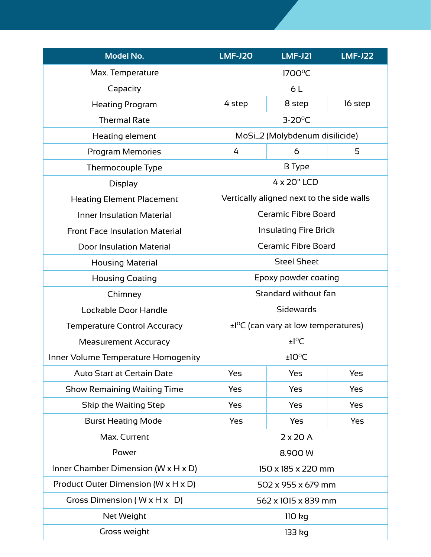| <b>Model No.</b>                                  | <b>LMF-J20</b>                                        | <b>LMF-J21</b>                            | <b>LMF-J22</b> |
|---------------------------------------------------|-------------------------------------------------------|-------------------------------------------|----------------|
| Max. Temperature                                  | 1700°C                                                |                                           |                |
| Capacity                                          | 6L                                                    |                                           |                |
| <b>Heating Program</b>                            | 4 step                                                | 8 step                                    | 16 step        |
| <b>Thermal Rate</b>                               |                                                       | $3-20^{\circ}C$                           |                |
| Heating element                                   |                                                       | MoSi_2 (Molybdenum disilicide)            |                |
| <b>Program Memories</b>                           | 4                                                     | 6                                         | 5              |
| Thermocouple Type                                 | <b>B</b> Type                                         |                                           |                |
| <b>Display</b>                                    | 4 x 20" LCD                                           |                                           |                |
| <b>Heating Element Placement</b>                  |                                                       | Vertically aligned next to the side walls |                |
| <b>Inner Insulation Material</b>                  |                                                       | <b>Ceramic Fibre Board</b>                |                |
| <b>Front Face Insulation Material</b>             | <b>Insulating Fire Brick</b>                          |                                           |                |
| <b>Door Insulation Material</b>                   | <b>Ceramic Fibre Board</b>                            |                                           |                |
| <b>Housing Material</b>                           | <b>Steel Sheet</b>                                    |                                           |                |
| <b>Housing Coating</b>                            | Epoxy powder coating                                  |                                           |                |
| Chimney                                           | Standard without fan                                  |                                           |                |
| Lockable Door Handle                              | Sidewards                                             |                                           |                |
| <b>Temperature Control Accuracy</b>               | $\pm$ 1 <sup>o</sup> C (can vary at low temperatures) |                                           |                |
| <b>Measurement Accuracy</b>                       | ±1°C                                                  |                                           |                |
| Inner Volume Temperature Homogenity               | $±10^{\circ}$ C                                       |                                           |                |
| <b>Auto Start at Certain Date</b>                 | Yes                                                   | Yes                                       | Yes            |
| <b>Show Remaining Waiting Time</b>                | Yes                                                   | Yes                                       | Yes            |
| Skip the Waiting Step                             | Yes                                                   | Yes                                       | Yes            |
| <b>Burst Heating Mode</b>                         | Yes                                                   | Yes                                       | Yes            |
| Max. Current                                      | $2 \times 20$ A                                       |                                           |                |
| Power                                             | 8.900 W                                               |                                           |                |
| Inner Chamber Dimension ( $W \times H \times D$ ) | 150 x 185 x 220 mm                                    |                                           |                |
| Product Outer Dimension (W x H x D)               | 502 x 955 x 679 mm                                    |                                           |                |
| Gross Dimension ( $W \times H \times D$ )         |                                                       | 562 x 1015 x 839 mm                       |                |
| Net Weight                                        | $110$ kg                                              |                                           |                |
| Gross weight                                      | 133 kg                                                |                                           |                |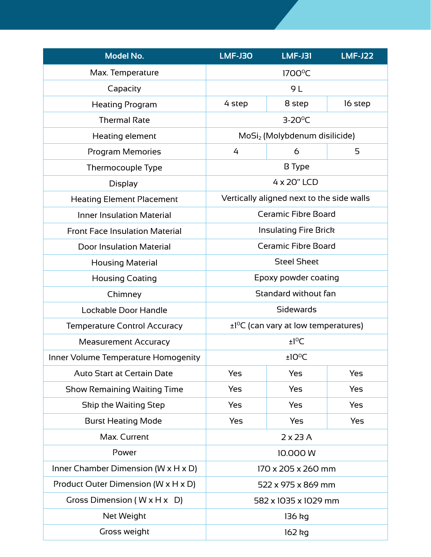| <b>Model No.</b>                                  | <b>LMF-J30</b>                                        | <b>LMF-J31</b>                            | <b>LMF-J22</b> |
|---------------------------------------------------|-------------------------------------------------------|-------------------------------------------|----------------|
| Max. Temperature                                  | 1700°C                                                |                                           |                |
| Capacity                                          | 9 L                                                   |                                           |                |
| <b>Heating Program</b>                            | 4 step                                                | 8 step                                    | 16 step        |
| <b>Thermal Rate</b>                               |                                                       | $3-20^{\circ}C$                           |                |
| Heating element                                   |                                                       | MoSi <sub>2</sub> (Molybdenum disilicide) |                |
| <b>Program Memories</b>                           | 4                                                     | 6                                         | 5              |
| Thermocouple Type                                 | <b>B</b> Type                                         |                                           |                |
| <b>Display</b>                                    | 4 x 20" LCD                                           |                                           |                |
| <b>Heating Element Placement</b>                  |                                                       | Vertically aligned next to the side walls |                |
| <b>Inner Insulation Material</b>                  |                                                       | <b>Ceramic Fibre Board</b>                |                |
| <b>Front Face Insulation Material</b>             | <b>Insulating Fire Brick</b>                          |                                           |                |
| <b>Door Insulation Material</b>                   | <b>Ceramic Fibre Board</b>                            |                                           |                |
| <b>Housing Material</b>                           | <b>Steel Sheet</b>                                    |                                           |                |
| <b>Housing Coating</b>                            | Epoxy powder coating                                  |                                           |                |
| Chimney                                           | Standard without fan                                  |                                           |                |
| Lockable Door Handle                              | Sidewards                                             |                                           |                |
| <b>Temperature Control Accuracy</b>               | $\pm$ 1 <sup>o</sup> C (can vary at low temperatures) |                                           |                |
| <b>Measurement Accuracy</b>                       | ±1°C                                                  |                                           |                |
| Inner Volume Temperature Homogenity               | $±10^{\circ}$ C                                       |                                           |                |
| <b>Auto Start at Certain Date</b>                 | Yes                                                   | Yes                                       | Yes            |
| <b>Show Remaining Waiting Time</b>                | Yes                                                   | Yes                                       | Yes            |
| Skip the Waiting Step                             | Yes                                                   | Yes                                       | Yes            |
| <b>Burst Heating Mode</b>                         | Yes                                                   | Yes                                       | Yes            |
| Max. Current                                      | $2 \times 23$ A                                       |                                           |                |
| Power                                             | 10.000 W                                              |                                           |                |
| Inner Chamber Dimension ( $W \times H \times D$ ) | 170 x 205 x 260 mm                                    |                                           |                |
| Product Outer Dimension (W x H x D)               | 522 x 975 x 869 mm                                    |                                           |                |
| Gross Dimension ( $W \times H \times D$ )         | 582 x 1035 x 1029 mm                                  |                                           |                |
| Net Weight                                        | 136 kg                                                |                                           |                |
| Gross weight                                      | 162 kg                                                |                                           |                |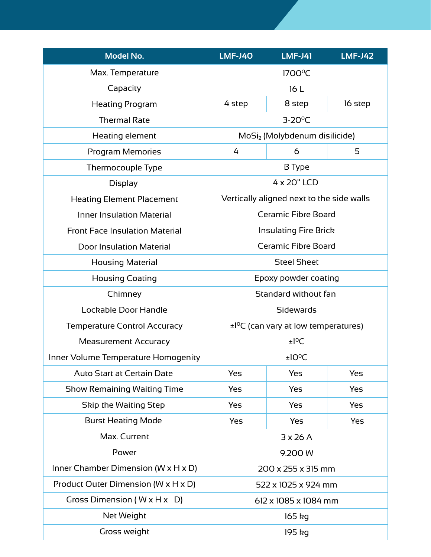| <b>Model No.</b>                                  | $LMF-J4O$                                             | <b>LMF-J41</b>                            | <b>LMF-J42</b> |
|---------------------------------------------------|-------------------------------------------------------|-------------------------------------------|----------------|
| Max. Temperature                                  | 1700°C                                                |                                           |                |
| Capacity                                          | 16L                                                   |                                           |                |
| <b>Heating Program</b>                            | 4 step                                                | 8 step                                    | 16 step        |
| <b>Thermal Rate</b>                               |                                                       | $3-20^{\circ}C$                           |                |
| Heating element                                   |                                                       | MoSi <sub>2</sub> (Molybdenum disilicide) |                |
| <b>Program Memories</b>                           | 4                                                     | 6                                         | 5              |
| Thermocouple Type                                 | <b>B</b> Type                                         |                                           |                |
| <b>Display</b>                                    | 4 x 20" LCD                                           |                                           |                |
| <b>Heating Element Placement</b>                  |                                                       | Vertically aligned next to the side walls |                |
| <b>Inner Insulation Material</b>                  |                                                       | <b>Ceramic Fibre Board</b>                |                |
| <b>Front Face Insulation Material</b>             | <b>Insulating Fire Brick</b>                          |                                           |                |
| <b>Door Insulation Material</b>                   | <b>Ceramic Fibre Board</b>                            |                                           |                |
| <b>Housing Material</b>                           | <b>Steel Sheet</b>                                    |                                           |                |
| <b>Housing Coating</b>                            | Epoxy powder coating                                  |                                           |                |
| Chimney                                           | Standard without fan                                  |                                           |                |
| Lockable Door Handle                              | Sidewards                                             |                                           |                |
| <b>Temperature Control Accuracy</b>               | $\pm$ 1 <sup>o</sup> C (can vary at low temperatures) |                                           |                |
| <b>Measurement Accuracy</b>                       | ±1°C                                                  |                                           |                |
| Inner Volume Temperature Homogenity               | $±10^{\circ}$ C                                       |                                           |                |
| <b>Auto Start at Certain Date</b>                 | Yes                                                   | Yes                                       | Yes            |
| <b>Show Remaining Waiting Time</b>                | Yes                                                   | Yes                                       | Yes            |
| Skip the Waiting Step                             | Yes                                                   | Yes                                       | Yes            |
| <b>Burst Heating Mode</b>                         | Yes                                                   | Yes                                       | Yes            |
| Max. Current                                      | 3x26A                                                 |                                           |                |
| Power                                             | 9.200 W                                               |                                           |                |
| Inner Chamber Dimension ( $W \times H \times D$ ) | 200 x 255 x 315 mm                                    |                                           |                |
| Product Outer Dimension ( $W \times H \times D$ ) | 522 x 1025 x 924 mm                                   |                                           |                |
| Gross Dimension ( $W \times H \times D$ )         | 612 x 1085 x 1084 mm                                  |                                           |                |
| Net Weight                                        | 165 kg                                                |                                           |                |
| Gross weight                                      | 195 kg                                                |                                           |                |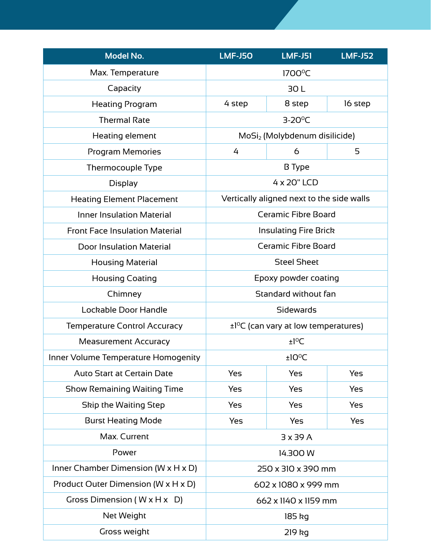| <b>Model No.</b>                                  | <b>LMF-J50</b>                                        | <b>LMF-J51</b>                            | <b>LMF-J52</b> |
|---------------------------------------------------|-------------------------------------------------------|-------------------------------------------|----------------|
| Max. Temperature                                  | 1700°C                                                |                                           |                |
| Capacity                                          | 30L                                                   |                                           |                |
| <b>Heating Program</b>                            | 4 step                                                | 8 step                                    | 16 step        |
| <b>Thermal Rate</b>                               |                                                       | $3-20^{\circ}C$                           |                |
| Heating element                                   |                                                       | MoSi <sub>2</sub> (Molybdenum disilicide) |                |
| <b>Program Memories</b>                           | 4                                                     | 6                                         | 5              |
| Thermocouple Type                                 | <b>B</b> Type                                         |                                           |                |
| <b>Display</b>                                    | 4 x 20" LCD                                           |                                           |                |
| <b>Heating Element Placement</b>                  |                                                       | Vertically aligned next to the side walls |                |
| <b>Inner Insulation Material</b>                  |                                                       | <b>Ceramic Fibre Board</b>                |                |
| <b>Front Face Insulation Material</b>             | <b>Insulating Fire Brick</b>                          |                                           |                |
| <b>Door Insulation Material</b>                   | <b>Ceramic Fibre Board</b>                            |                                           |                |
| <b>Housing Material</b>                           | <b>Steel Sheet</b>                                    |                                           |                |
| <b>Housing Coating</b>                            | Epoxy powder coating                                  |                                           |                |
| Chimney                                           | Standard without fan                                  |                                           |                |
| Lockable Door Handle                              | Sidewards                                             |                                           |                |
| <b>Temperature Control Accuracy</b>               | $\pm$ 1 <sup>o</sup> C (can vary at low temperatures) |                                           |                |
| <b>Measurement Accuracy</b>                       | ±1°C                                                  |                                           |                |
| Inner Volume Temperature Homogenity               | $±10^{\circ}$ C                                       |                                           |                |
| <b>Auto Start at Certain Date</b>                 | Yes                                                   | Yes                                       | Yes            |
| <b>Show Remaining Waiting Time</b>                | Yes                                                   | Yes                                       | Yes            |
| Skip the Waiting Step                             | Yes                                                   | Yes                                       | Yes            |
| <b>Burst Heating Mode</b>                         | Yes                                                   | Yes                                       | Yes            |
| Max. Current                                      | 3x39A                                                 |                                           |                |
| Power                                             | 14.300 W                                              |                                           |                |
| Inner Chamber Dimension ( $W \times H \times D$ ) | 250 x 310 x 390 mm                                    |                                           |                |
| Product Outer Dimension ( $W \times H \times D$ ) | 602 x 1080 x 999 mm                                   |                                           |                |
| Gross Dimension ( $W \times H \times D$ )         | 662 x 1140 x 1159 mm                                  |                                           |                |
| Net Weight                                        | 185 kg                                                |                                           |                |
| Gross weight                                      | 219 kg                                                |                                           |                |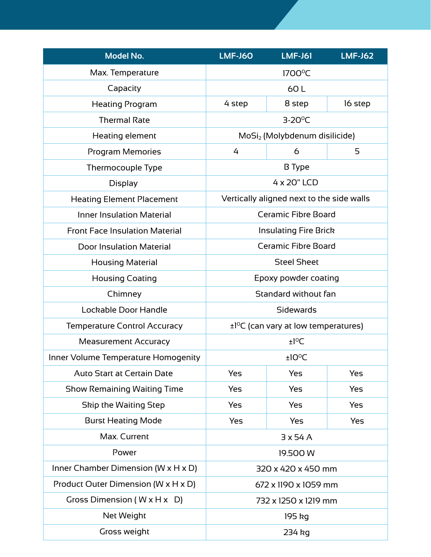| <b>Model No.</b>                                  | <b>LMF-J60</b>                                        | <b>LMF-J61</b>                            | <b>LMF-J62</b> |
|---------------------------------------------------|-------------------------------------------------------|-------------------------------------------|----------------|
| Max. Temperature                                  | 1700°C                                                |                                           |                |
| Capacity                                          | 60L                                                   |                                           |                |
| <b>Heating Program</b>                            | 4 step                                                | 8 step                                    | 16 step        |
| <b>Thermal Rate</b>                               |                                                       | $3-20^{\circ}C$                           |                |
| Heating element                                   |                                                       | MoSi <sub>2</sub> (Molybdenum disilicide) |                |
| <b>Program Memories</b>                           | 4                                                     | 6                                         | 5              |
| Thermocouple Type                                 | <b>B</b> Type                                         |                                           |                |
| <b>Display</b>                                    | 4 x 20" LCD                                           |                                           |                |
| <b>Heating Element Placement</b>                  |                                                       | Vertically aligned next to the side walls |                |
| <b>Inner Insulation Material</b>                  | <b>Ceramic Fibre Board</b>                            |                                           |                |
| <b>Front Face Insulation Material</b>             | <b>Insulating Fire Brick</b>                          |                                           |                |
| <b>Door Insulation Material</b>                   | <b>Ceramic Fibre Board</b>                            |                                           |                |
| <b>Housing Material</b>                           | <b>Steel Sheet</b>                                    |                                           |                |
| <b>Housing Coating</b>                            | Epoxy powder coating                                  |                                           |                |
| Chimney                                           | Standard without fan                                  |                                           |                |
| Lockable Door Handle                              | Sidewards                                             |                                           |                |
| <b>Temperature Control Accuracy</b>               | $\pm$ 1 <sup>o</sup> C (can vary at low temperatures) |                                           |                |
| <b>Measurement Accuracy</b>                       | ±1°C                                                  |                                           |                |
| Inner Volume Temperature Homogenity               | $±10^{\circ}$ C                                       |                                           |                |
| <b>Auto Start at Certain Date</b>                 | Yes                                                   | Yes                                       | Yes            |
| <b>Show Remaining Waiting Time</b>                | Yes                                                   | Yes                                       | Yes            |
| Skip the Waiting Step                             | Yes                                                   | Yes                                       | Yes            |
| <b>Burst Heating Mode</b>                         | Yes                                                   | Yes                                       | Yes            |
| Max. Current                                      | 3x54A                                                 |                                           |                |
| Power                                             | 19.500 W                                              |                                           |                |
| Inner Chamber Dimension ( $W \times H \times D$ ) | 320 x 420 x 450 mm                                    |                                           |                |
| Product Outer Dimension ( $W \times H \times D$ ) | 672 x 1190 x 1059 mm                                  |                                           |                |
| Gross Dimension ( $W \times H \times D$ )         | 732 x 1250 x 1219 mm                                  |                                           |                |
| Net Weight                                        | 195 kg                                                |                                           |                |
| Gross weight                                      | 234 kg                                                |                                           |                |